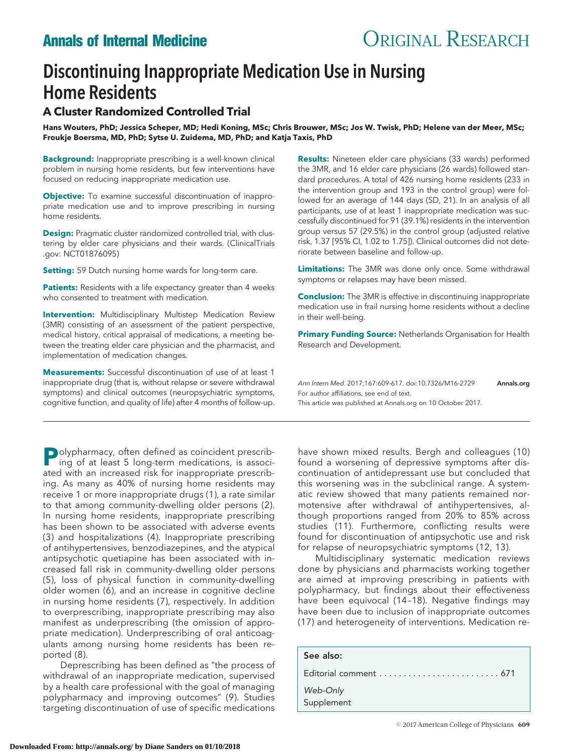# Discontinuing Inappropriate Medication Use in Nursing Home Residents

# **A Cluster Randomized Controlled Trial**

**Hans Wouters, PhD; Jessica Scheper, MD; Hedi Koning, MSc; Chris Brouwer, MSc; Jos W. Twisk, PhD; Helene van der Meer, MSc; Froukje Boersma, MD, PhD; Sytse U. Zuidema, MD, PhD; and Katja Taxis, PhD**

**Background:** Inappropriate prescribing is a well-known clinical problem in nursing home residents, but few interventions have focused on reducing inappropriate medication use.

**Objective:** To examine successful discontinuation of inappropriate medication use and to improve prescribing in nursing home residents.

**Design:** Pragmatic cluster randomized controlled trial, with clustering by elder care physicians and their wards. (ClinicalTrials .gov: NCT01876095)

**Setting:** 59 Dutch nursing home wards for long-term care.

Patients: Residents with a life expectancy greater than 4 weeks who consented to treatment with medication.

**Intervention:** Multidisciplinary Multistep Medication Review (3MR) consisting of an assessment of the patient perspective, medical history, critical appraisal of medications, a meeting between the treating elder care physician and the pharmacist, and implementation of medication changes.

**Measurements:** Successful discontinuation of use of at least 1 inappropriate drug (that is, without relapse or severe withdrawal symptoms) and clinical outcomes (neuropsychiatric symptoms, cognitive function, and quality of life) after 4 months of follow-up.

**P**olypharmacy, often defined as coincident prescribing of at least 5 long-term medications, is associated with an increased risk for inappropriate prescribing. As many as 40% of nursing home residents may receive 1 or more inappropriate drugs (1), a rate similar to that among community-dwelling older persons (2). In nursing home residents, inappropriate prescribing has been shown to be associated with adverse events (3) and hospitalizations (4). Inappropriate prescribing of antihypertensives, benzodiazepines, and the atypical antipsychotic quetiapine has been associated with increased fall risk in community-dwelling older persons (5), loss of physical function in community-dwelling older women (6), and an increase in cognitive decline in nursing home residents (7), respectively. In addition to overprescribing, inappropriate prescribing may also manifest as underprescribing (the omission of appropriate medication). Underprescribing of oral anticoagulants among nursing home residents has been reported (8).

Deprescribing has been defined as "the process of withdrawal of an inappropriate medication, supervised by a health care professional with the goal of managing polypharmacy and improving outcomes" (9). Studies targeting discontinuation of use of specific medications

**Results:** Nineteen elder care physicians (33 wards) performed the 3MR, and 16 elder care physicians (26 wards) followed standard procedures. A total of 426 nursing home residents (233 in the intervention group and 193 in the control group) were followed for an average of 144 days (SD, 21). In an analysis of all participants, use of at least 1 inappropriate medication was successfully discontinued for 91 (39.1%) residents in the intervention group versus 57 (29.5%) in the control group (adjusted relative risk, 1.37 [95% CI, 1.02 to 1.75]). Clinical outcomes did not deteriorate between baseline and follow-up.

**Limitations:** The 3MR was done only once. Some withdrawal symptoms or relapses may have been missed.

**Conclusion:** The 3MR is effective in discontinuing inappropriate medication use in frail nursing home residents without a decline in their well-being.

**Primary Funding Source:** Netherlands Organisation for Health Research and Development.

Ann Intern Med. 2017;167:609-617. doi:10.7326/M16-2729 [Annals.org](http://www.annals.org) For author affiliations, see end of text. This article was published at [Annals.org](http://www.annals.org) on 10 October 2017.

have shown mixed results. Bergh and colleagues (10) found a worsening of depressive symptoms after discontinuation of antidepressant use but concluded that this worsening was in the subclinical range. A systematic review showed that many patients remained normotensive after withdrawal of antihypertensives, although proportions ranged from 20% to 85% across studies (11). Furthermore, conflicting results were found for discontinuation of antipsychotic use and risk for relapse of neuropsychiatric symptoms (12, 13).

Multidisciplinary systematic medication reviews done by physicians and pharmacists working together are aimed at improving prescribing in patients with polypharmacy, but findings about their effectiveness have been equivocal (14 –18). Negative findings may have been due to inclusion of inappropriate outcomes (17) and heterogeneity of interventions. Medication re-

| See also:              |  |
|------------------------|--|
|                        |  |
| Web-Only<br>Supplement |  |
|                        |  |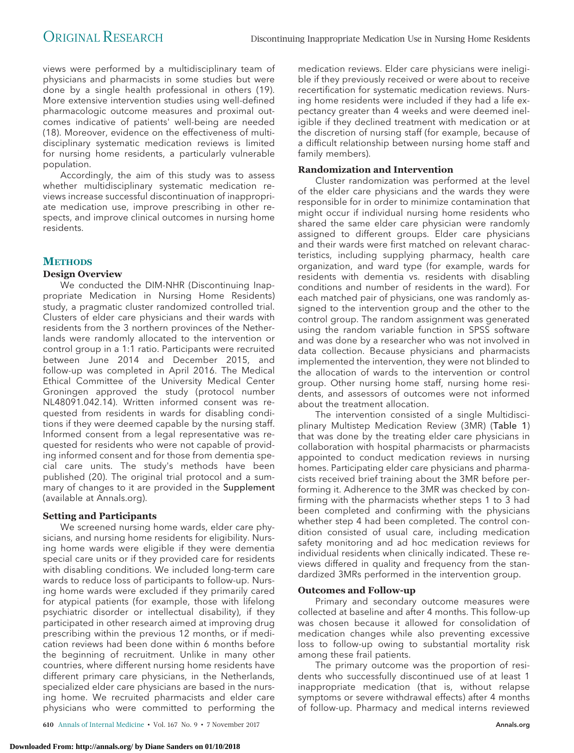views were performed by a multidisciplinary team of physicians and pharmacists in some studies but were done by a single health professional in others (19). More extensive intervention studies using well-defined pharmacologic outcome measures and proximal outcomes indicative of patients' well-being are needed (18). Moreover, evidence on the effectiveness of multidisciplinary systematic medication reviews is limited for nursing home residents, a particularly vulnerable population.

Accordingly, the aim of this study was to assess whether multidisciplinary systematic medication reviews increase successful discontinuation of inappropriate medication use, improve prescribing in other respects, and improve clinical outcomes in nursing home residents.

## **METHODS**

### **Design Overview**

We conducted the DIM-NHR (Discontinuing Inappropriate Medication in Nursing Home Residents) study, a pragmatic cluster randomized controlled trial. Clusters of elder care physicians and their wards with residents from the 3 northern provinces of the Netherlands were randomly allocated to the intervention or control group in a 1:1 ratio. Participants were recruited between June 2014 and December 2015, and follow-up was completed in April 2016. The Medical Ethical Committee of the University Medical Center Groningen approved the study (protocol number NL48091.042.14). Written informed consent was requested from residents in wards for disabling conditions if they were deemed capable by the nursing staff. Informed consent from a legal representative was requested for residents who were not capable of providing informed consent and for those from dementia special care units. The study's methods have been published (20). The original trial protocol and a summary of changes to it are provided in the Supplement (available at [Annals.org\)](http://www.annals.org).

### **Setting and Participants**

We screened nursing home wards, elder care physicians, and nursing home residents for eligibility. Nursing home wards were eligible if they were dementia special care units or if they provided care for residents with disabling conditions. We included long-term care wards to reduce loss of participants to follow-up. Nursing home wards were excluded if they primarily cared for atypical patients (for example, those with lifelong psychiatric disorder or intellectual disability), if they participated in other research aimed at improving drug prescribing within the previous 12 months, or if medication reviews had been done within 6 months before the beginning of recruitment. Unlike in many other countries, where different nursing home residents have different primary care physicians, in the Netherlands, specialized elder care physicians are based in the nursing home. We recruited pharmacists and elder care physicians who were committed to performing the

**610** Annals of Internal Medicine • Vol. 167 No. 9 • 7 November 2017 [Annals.org](http://www.annals.org)

**Downloaded From: http://annals.org/ by Diane Sanders on 01/10/2018**

medication reviews. Elder care physicians were ineligible if they previously received or were about to receive recertification for systematic medication reviews. Nursing home residents were included if they had a life expectancy greater than 4 weeks and were deemed ineligible if they declined treatment with medication or at the discretion of nursing staff (for example, because of a difficult relationship between nursing home staff and family members).

### **Randomization and Intervention**

Cluster randomization was performed at the level of the elder care physicians and the wards they were responsible for in order to minimize contamination that might occur if individual nursing home residents who shared the same elder care physician were randomly assigned to different groups. Elder care physicians and their wards were first matched on relevant characteristics, including supplying pharmacy, health care organization, and ward type (for example, wards for residents with dementia vs. residents with disabling conditions and number of residents in the ward). For each matched pair of physicians, one was randomly assigned to the intervention group and the other to the control group. The random assignment was generated using the random variable function in SPSS software and was done by a researcher who was not involved in data collection. Because physicians and pharmacists implemented the intervention, they were not blinded to the allocation of wards to the intervention or control group. Other nursing home staff, nursing home residents, and assessors of outcomes were not informed about the treatment allocation.

The intervention consisted of a single Multidisciplinary Multistep Medication Review (3MR) (Table 1) that was done by the treating elder care physicians in collaboration with hospital pharmacists or pharmacists appointed to conduct medication reviews in nursing homes. Participating elder care physicians and pharmacists received brief training about the 3MR before performing it. Adherence to the 3MR was checked by confirming with the pharmacists whether steps 1 to 3 had been completed and confirming with the physicians whether step 4 had been completed. The control condition consisted of usual care, including medication safety monitoring and ad hoc medication reviews for individual residents when clinically indicated. These reviews differed in quality and frequency from the standardized 3MRs performed in the intervention group.

### **Outcomes and Follow-up**

Primary and secondary outcome measures were collected at baseline and after 4 months. This follow-up was chosen because it allowed for consolidation of medication changes while also preventing excessive loss to follow-up owing to substantial mortality risk among these frail patients.

The primary outcome was the proportion of residents who successfully discontinued use of at least 1 inappropriate medication (that is, without relapse symptoms or severe withdrawal effects) after 4 months of follow-up. Pharmacy and medical interns reviewed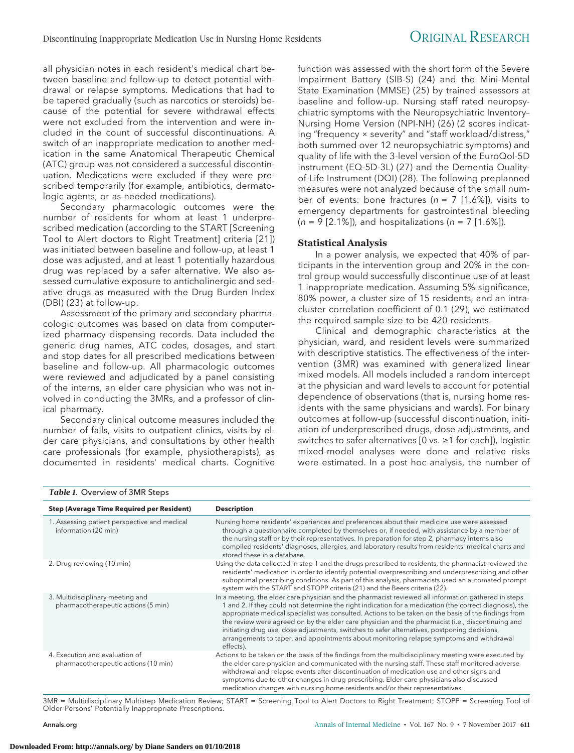all physician notes in each resident's medical chart between baseline and follow-up to detect potential withdrawal or relapse symptoms. Medications that had to be tapered gradually (such as narcotics or steroids) because of the potential for severe withdrawal effects were not excluded from the intervention and were included in the count of successful discontinuations. A switch of an inappropriate medication to another medication in the same Anatomical Therapeutic Chemical (ATC) group was not considered a successful discontinuation. Medications were excluded if they were prescribed temporarily (for example, antibiotics, dermatologic agents, or as-needed medications).

Secondary pharmacologic outcomes were the number of residents for whom at least 1 underprescribed medication (according to the START [Screening Tool to Alert doctors to Right Treatment] criteria [21]) was initiated between baseline and follow-up, at least 1 dose was adjusted, and at least 1 potentially hazardous drug was replaced by a safer alternative. We also assessed cumulative exposure to anticholinergic and sedative drugs as measured with the Drug Burden Index (DBI) (23) at follow-up.

Assessment of the primary and secondary pharmacologic outcomes was based on data from computerized pharmacy dispensing records. Data included the generic drug names, ATC codes, dosages, and start and stop dates for all prescribed medications between baseline and follow-up. All pharmacologic outcomes were reviewed and adjudicated by a panel consisting of the interns, an elder care physician who was not involved in conducting the 3MRs, and a professor of clinical pharmacy.

Secondary clinical outcome measures included the number of falls, visits to outpatient clinics, visits by elder care physicians, and consultations by other health care professionals (for example, physiotherapists), as documented in residents' medical charts. Cognitive

function was assessed with the short form of the Severe Impairment Battery (SIB-S) (24) and the Mini-Mental State Examination (MMSE) (25) by trained assessors at baseline and follow-up. Nursing staff rated neuropsychiatric symptoms with the Neuropsychiatric Inventory– Nursing Home Version (NPI-NH) (26) (2 scores indicating "frequency × severity" and "staff workload/distress," both summed over 12 neuropsychiatric symptoms) and quality of life with the 3-level version of the EuroQol-5D instrument (EQ-5D-3L) (27) and the Dementia Qualityof-Life Instrument (DQI) (28). The following preplanned measures were not analyzed because of the small number of events: bone fractures ( $n = 7$  [1.6%]), visits to emergency departments for gastrointestinal bleeding  $(n = 9 [2.1\%])$ , and hospitalizations  $(n = 7 [1.6\%])$ .

### **Statistical Analysis**

In a power analysis, we expected that 40% of participants in the intervention group and 20% in the control group would successfully discontinue use of at least 1 inappropriate medication. Assuming 5% significance, 80% power, a cluster size of 15 residents, and an intracluster correlation coefficient of 0.1 (29), we estimated the required sample size to be 420 residents.

Clinical and demographic characteristics at the physician, ward, and resident levels were summarized with descriptive statistics. The effectiveness of the intervention (3MR) was examined with generalized linear mixed models. All models included a random intercept at the physician and ward levels to account for potential dependence of observations (that is, nursing home residents with the same physicians and wards). For binary outcomes at follow-up (successful discontinuation, initiation of underprescribed drugs, dose adjustments, and switches to safer alternatives [0 vs. ≥1 for each]), logistic mixed-model analyses were done and relative risks were estimated. In a post hoc analysis, the number of

| Table 1. Overview of 3MR Steps                                          |                                                                                                                                                                                                                                                                                                                                                                                                                                                                                                                                                                                                                                      |  |  |  |
|-------------------------------------------------------------------------|--------------------------------------------------------------------------------------------------------------------------------------------------------------------------------------------------------------------------------------------------------------------------------------------------------------------------------------------------------------------------------------------------------------------------------------------------------------------------------------------------------------------------------------------------------------------------------------------------------------------------------------|--|--|--|
| <b>Step (Average Time Required per Resident)</b>                        | <b>Description</b>                                                                                                                                                                                                                                                                                                                                                                                                                                                                                                                                                                                                                   |  |  |  |
| 1. Assessing patient perspective and medical<br>information (20 min)    | Nursing home residents' experiences and preferences about their medicine use were assessed<br>through a questionnaire completed by themselves or, if needed, with assistance by a member of<br>the nursing staff or by their representatives. In preparation for step 2, pharmacy interns also<br>compiled residents' diagnoses, allergies, and laboratory results from residents' medical charts and<br>stored these in a database.                                                                                                                                                                                                 |  |  |  |
| 2. Drug reviewing (10 min)                                              | Using the data collected in step 1 and the drugs prescribed to residents, the pharmacist reviewed the<br>residents' medication in order to identify potential overprescribing and underprescribing and other<br>suboptimal prescribing conditions. As part of this analysis, pharmacists used an automated prompt<br>system with the START and STOPP criteria (21) and the Beers criteria (22).                                                                                                                                                                                                                                      |  |  |  |
| 3. Multidisciplinary meeting and<br>pharmacotherapeutic actions (5 min) | In a meeting, the elder care physician and the pharmacist reviewed all information gathered in steps<br>1 and 2. If they could not determine the right indication for a medication (the correct diagnosis), the<br>appropriate medical specialist was consulted. Actions to be taken on the basis of the findings from<br>the review were agreed on by the elder care physician and the pharmacist (i.e., discontinuing and<br>initiating drug use, dose adjustments, switches to safer alternatives, postponing decisions,<br>arrangements to taper, and appointments about monitoring relapse symptoms and withdrawal<br>effects). |  |  |  |
| 4. Execution and evaluation of<br>pharmacotherapeutic actions (10 min)  | Actions to be taken on the basis of the findings from the multidisciplinary meeting were executed by<br>the elder care physician and communicated with the nursing staff. These staff monitored adverse<br>withdrawal and relapse events after discontinuation of medication use and other signs and<br>symptoms due to other changes in drug prescribing. Elder care physicians also discussed<br>medication changes with nursing home residents and/or their representatives.                                                                                                                                                      |  |  |  |

3MR = Multidisciplinary Multistep Medication Review; START = Screening Tool to Alert Doctors to Right Treatment; STOPP = Screening Tool of Older Persons' Potentially Inappropriate Prescriptions.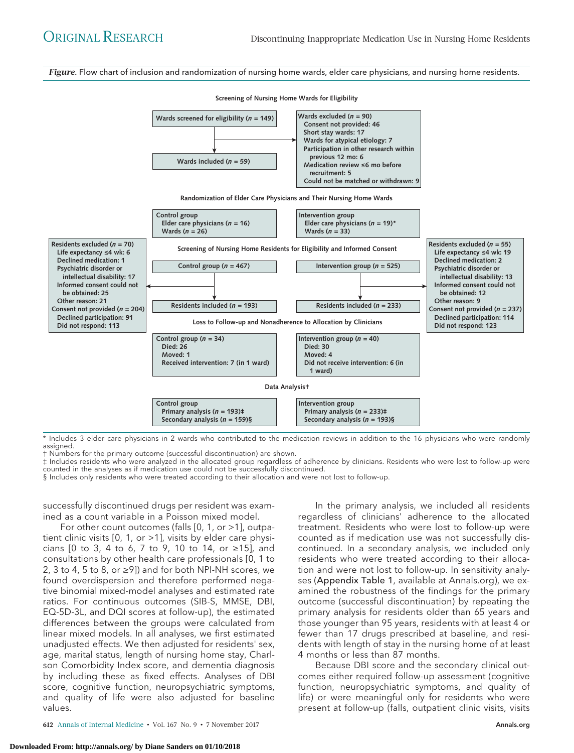*Figure.* Flow chart of inclusion and randomization of nursing home wards, elder care physicians, and nursing home residents.



\* Includes 3 elder care physicians in 2 wards who contributed to the medication reviews in addition to the 16 physicians who were randomly assigned.

† Numbers for the primary outcome (successful discontinuation) are shown.

‡ Includes residents who were analyzed in the allocated group regardless of adherence by clinicians. Residents who were lost to follow-up were counted in the analyses as if medication use could not be successfully discontinued.

§ Includes only residents who were treated according to their allocation and were not lost to follow-up.

successfully discontinued drugs per resident was examined as a count variable in a Poisson mixed model.

For other count outcomes (falls  $[0, 1, 0r > 1]$ , outpatient clinic visits [0, 1, or >1], visits by elder care physicians [0 to 3, 4 to 6, 7 to 9, 10 to 14, or ≥15], and consultations by other health care professionals [0, 1 to 2, 3 to 4, 5 to 8, or  $\geq$ 9]) and for both NPI-NH scores, we found overdispersion and therefore performed negative binomial mixed-model analyses and estimated rate ratios. For continuous outcomes (SIB-S, MMSE, DBI, EQ-5D-3L, and DQI scores at follow-up), the estimated differences between the groups were calculated from linear mixed models. In all analyses, we first estimated unadjusted effects. We then adjusted for residents' sex, age, marital status, length of nursing home stay, Charlson Comorbidity Index score, and dementia diagnosis by including these as fixed effects. Analyses of DBI score, cognitive function, neuropsychiatric symptoms, and quality of life were also adjusted for baseline values.

**612** Annals of Internal Medicine • Vol. 167 No. 9 • 7 November 2017

In the primary analysis, we included all residents regardless of clinicians' adherence to the allocated treatment. Residents who were lost to follow-up were counted as if medication use was not successfully discontinued. In a secondary analysis, we included only residents who were treated according to their allocation and were not lost to follow-up. In sensitivity analy-ses (Appendix Table 1, available at [Annals.org\)](http://www.annals.org), we examined the robustness of the findings for the primary outcome (successful discontinuation) by repeating the primary analysis for residents older than 65 years and those younger than 95 years, residents with at least 4 or fewer than 17 drugs prescribed at baseline, and residents with length of stay in the nursing home of at least 4 months or less than 87 months.

Because DBI score and the secondary clinical outcomes either required follow-up assessment (cognitive function, neuropsychiatric symptoms, and quality of life) or were meaningful only for residents who were present at follow-up (falls, outpatient clinic visits, visits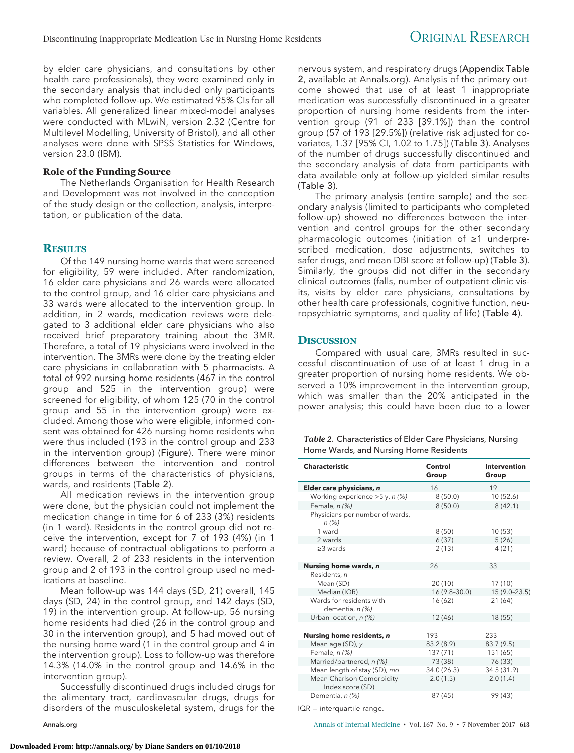by elder care physicians, and consultations by other health care professionals), they were examined only in the secondary analysis that included only participants who completed follow-up. We estimated 95% CIs for all variables. All generalized linear mixed-model analyses were conducted with MLwiN, version 2.32 (Centre for Multilevel Modelling, University of Bristol), and all other analyses were done with SPSS Statistics for Windows, version 23.0 (IBM).

#### **Role of the Funding Source**

The Netherlands Organisation for Health Research and Development was not involved in the conception of the study design or the collection, analysis, interpretation, or publication of the data.

#### **RESULTS**

Of the 149 nursing home wards that were screened for eligibility, 59 were included. After randomization, 16 elder care physicians and 26 wards were allocated to the control group, and 16 elder care physicians and 33 wards were allocated to the intervention group. In addition, in 2 wards, medication reviews were delegated to 3 additional elder care physicians who also received brief preparatory training about the 3MR. Therefore, a total of 19 physicians were involved in the intervention. The 3MRs were done by the treating elder care physicians in collaboration with 5 pharmacists. A total of 992 nursing home residents (467 in the control group and 525 in the intervention group) were screened for eligibility, of whom 125 (70 in the control group and 55 in the intervention group) were excluded. Among those who were eligible, informed consent was obtained for 426 nursing home residents who were thus included (193 in the control group and 233 in the intervention group) (Figure). There were minor differences between the intervention and control groups in terms of the characteristics of physicians, wards, and residents (Table 2).

All medication reviews in the intervention group were done, but the physician could not implement the medication change in time for 6 of 233 (3%) residents (in 1 ward). Residents in the control group did not receive the intervention, except for 7 of 193 (4%) (in 1 ward) because of contractual obligations to perform a review. Overall, 2 of 233 residents in the intervention group and 2 of 193 in the control group used no medications at baseline.

Mean follow-up was 144 days (SD, 21) overall, 145 days (SD, 24) in the control group, and 142 days (SD, 19) in the intervention group. At follow-up, 56 nursing home residents had died (26 in the control group and 30 in the intervention group), and 5 had moved out of the nursing home ward (1 in the control group and 4 in the intervention group). Loss to follow-up was therefore 14.3% (14.0% in the control group and 14.6% in the intervention group).

Successfully discontinued drugs included drugs for the alimentary tract, cardiovascular drugs, drugs for disorders of the musculoskeletal system, drugs for the

nervous system, and respiratory drugs (Appendix Table 2, available at [Annals.org\)](http://www.annals.org). Analysis of the primary outcome showed that use of at least 1 inappropriate medication was successfully discontinued in a greater proportion of nursing home residents from the intervention group (91 of 233 [39.1%]) than the control group (57 of 193 [29.5%]) (relative risk adjusted for covariates, 1.37 [95% CI, 1.02 to 1.75]) (Table 3). Analyses of the number of drugs successfully discontinued and the secondary analysis of data from participants with data available only at follow-up yielded similar results (Table 3).

The primary analysis (entire sample) and the secondary analysis (limited to participants who completed follow-up) showed no differences between the intervention and control groups for the other secondary pharmacologic outcomes (initiation of ≥1 underprescribed medication, dose adjustments, switches to safer drugs, and mean DBI score at follow-up) (Table 3). Similarly, the groups did not differ in the secondary clinical outcomes (falls, number of outpatient clinic visits, visits by elder care physicians, consultations by other health care professionals, cognitive function, neuropsychiatric symptoms, and quality of life) (Table 4).

#### **DISCUSSION**

Compared with usual care, 3MRs resulted in successful discontinuation of use of at least 1 drug in a greater proportion of nursing home residents. We observed a 10% improvement in the intervention group, which was smaller than the 20% anticipated in the power analysis; this could have been due to a lower

| Table 2. Characteristics of Elder Care Physicians, Nursing |
|------------------------------------------------------------|
| Home Wards, and Nursing Home Residents                     |

| <b>Characteristic</b>                         | Control<br>Group | Intervention<br>Group |
|-----------------------------------------------|------------------|-----------------------|
| Elder care physicians, n                      | 16               | 19                    |
| Working experience $>5$ y, n (%)              | 8(50.0)          | 10(52.6)              |
| Female, n (%)                                 | 8(50.0)          | 8(42.1)               |
| Physicians per number of wards,<br>n (%)      |                  |                       |
| 1 ward                                        | 8(50)            | 10(53)                |
| 2 wards                                       | 6(37)            | 5(26)                 |
| $\geq$ 3 wards                                | 2(13)            | 4(21)                 |
|                                               |                  |                       |
| Nursing home wards, n                         | 26               | 33                    |
| Residents, n                                  |                  |                       |
| Mean (SD)                                     | 20(10)           | 17(10)                |
| Median (IQR)                                  | 16 (9.8-30.0)    | 15 (9.0-23.5)         |
| Wards for residents with<br>dementia, n (%)   | 16 (62)          | 21 (64)               |
| Urban location, n (%)                         | 12 (46)          | 18 (55)               |
|                                               |                  |                       |
| Nursing home residents, n                     | 193              | 233                   |
| Mean age (SD), y                              | 83.2(8.9)        | 83.7 (9.5)            |
| Female, n (%)                                 | 137 (71)         | 151 (65)              |
| Married/partnered, n (%)                      | 73 (38)          | 76 (33)               |
| Mean length of stay (SD), mo                  | 34.0 (26.3)      | 34.5 (31.9)           |
| Mean Charlson Comorbidity<br>Index score (SD) | 2.0(1.5)         | 2.0(1.4)              |
| Dementia, n (%)                               | 87 (45)          | 99 (43)               |

IQR = interquartile range.

[Annals.org](http://www.annals.org) **Annals of Internal Medicine • Vol. 167 No. 9 • 7 November 2017 613**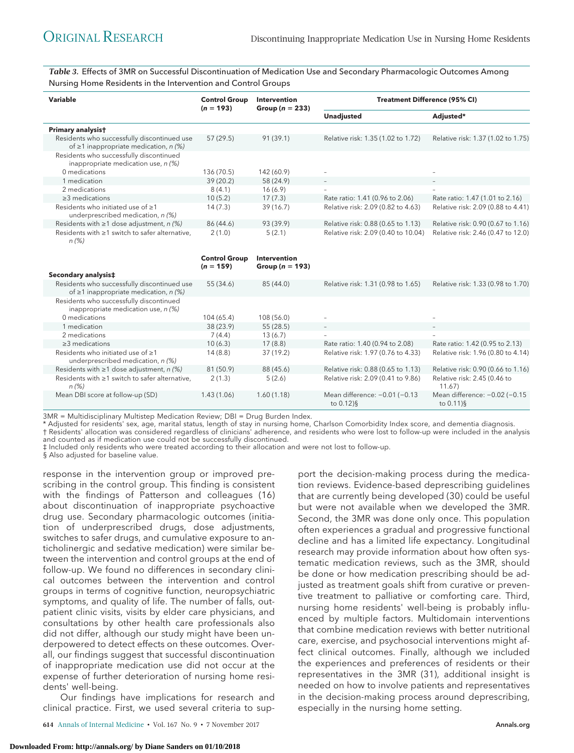*Table 3.* Effects of 3MR on Successful Discontinuation of Medication Use and Secondary Pharmacologic Outcomes Among Nursing Home Residents in the Intervention and Control Groups

| Variable                                                                                   | <b>Control Group</b><br>$(n = 193)$ | <b>Intervention</b><br>Group ( $n = 233$ ) | <b>Treatment Difference (95% CI)</b> |                                    |
|--------------------------------------------------------------------------------------------|-------------------------------------|--------------------------------------------|--------------------------------------|------------------------------------|
|                                                                                            |                                     |                                            | <b>Unadjusted</b>                    | Adjusted*                          |
| Primary analysist                                                                          |                                     |                                            |                                      |                                    |
| Residents who successfully discontinued use<br>of $\geq$ 1 inappropriate medication, n (%) | 57 (29.5)                           | 91 (39.1)                                  | Relative risk: 1.35 (1.02 to 1.72)   | Relative risk: 1.37 (1.02 to 1.75) |
| Residents who successfully discontinued<br>inappropriate medication use, $n$ (%)           |                                     |                                            |                                      |                                    |
| 0 medications                                                                              | 136 (70.5)                          | 142 (60.9)                                 |                                      |                                    |
| 1 medication                                                                               | 39(20.2)                            | 58 (24.9)                                  | $\overline{\phantom{a}}$             |                                    |
| 2 medications                                                                              | 8(4.1)                              | 16(6.9)                                    | $\overline{\phantom{a}}$             |                                    |
| $\geq$ 3 medications                                                                       | 10(5.2)                             | 17(7.3)                                    | Rate ratio: 1.41 (0.96 to 2.06)      | Rate ratio: 1.47 (1.01 to 2.16)    |
| Residents who initiated use of $\geq 1$<br>underprescribed medication, n (%)               | 14(7.3)                             | 39(16.7)                                   | Relative risk: 2.09 (0.82 to 4.63)   | Relative risk: 2.09 (0.88 to 4.41) |
| Residents with $\geq 1$ dose adjustment, n (%)                                             | 86 (44.6)                           | 93 (39.9)                                  | Relative risk: 0.88 (0.65 to 1.13)   | Relative risk: 0.90 (0.67 to 1.16) |
| Residents with ≥1 switch to safer alternative,<br>$n (\%)$                                 | 2(1.0)                              | 5(2.1)                                     | Relative risk: 2.09 (0.40 to 10.04)  | Relative risk: 2.46 (0.47 to 12.0) |

|                                                                                            | <b>Control Group</b><br>$(n = 159)$ | Intervention<br>Group ( $n = 193$ ) |                                                          |                                                          |
|--------------------------------------------------------------------------------------------|-------------------------------------|-------------------------------------|----------------------------------------------------------|----------------------------------------------------------|
| Secondary analysis‡                                                                        |                                     |                                     |                                                          |                                                          |
| Residents who successfully discontinued use<br>of $\geq$ 1 inappropriate medication, n (%) | 55 (34.6)                           | 85 (44.0)                           | Relative risk: 1.31 (0.98 to 1.65)                       | Relative risk: 1.33 (0.98 to 1.70)                       |
| Residents who successfully discontinued<br>inappropriate medication use, $n$ (%)           |                                     |                                     |                                                          |                                                          |
| 0 medications                                                                              | 104 (65.4)                          | 108 (56.0)                          |                                                          |                                                          |
| 1 medication                                                                               | 38 (23.9)                           | 55(28.5)                            | $\overline{\phantom{a}}$                                 | $-$                                                      |
| 2 medications                                                                              | 7(4.4)                              | 13(6.7)                             | $\overline{\phantom{a}}$                                 |                                                          |
| $\geq$ 3 medications                                                                       | 10(6.3)                             | 17(8.8)                             | Rate ratio: 1.40 (0.94 to 2.08)                          | Rate ratio: 1.42 (0.95 to 2.13)                          |
| Residents who initiated use of $\geq 1$<br>underprescribed medication, n (%)               | 14(8.8)                             | 37 (19.2)                           | Relative risk: 1.97 (0.76 to 4.33)                       | Relative risk: 1.96 (0.80 to 4.14)                       |
| Residents with $\geq 1$ dose adjustment, n (%)                                             | 81 (50.9)                           | 88 (45.6)                           | Relative risk: 0.88 (0.65 to 1.13)                       | Relative risk: 0.90 (0.66 to 1.16)                       |
| Residents with ≥1 switch to safer alternative,<br>n (%)                                    | 2(1.3)                              | 5(2.6)                              | Relative risk: 2.09 (0.41 to 9.86)                       | Relative risk: 2.45 (0.46 to<br>11.67)                   |
| Mean DBI score at follow-up (SD)                                                           | 1.43(1.06)                          | 1.60(1.18)                          | Mean difference: $-0.01$ ( $-0.13$ )<br>to $0.12$ ) $\S$ | Mean difference: $-0.02$ ( $-0.15$ )<br>to $0.11$ ) $\S$ |

3MR = Multidisciplinary Multistep Medication Review; DBI = Drug Burden Index.

\* Adjusted for residents' sex, age, marital status, length of stay in nursing home, Charlson Comorbidity Index score, and dementia diagnosis. † Residents' allocation was considered regardless of clinicians' adherence, and residents who were lost to follow-up were included in the analysis

and counted as if medication use could not be successfully discontinued. ‡ Included only residents who were treated according to their allocation and were not lost to follow-up.

§ Also adjusted for baseline value.

response in the intervention group or improved prescribing in the control group. This finding is consistent with the findings of Patterson and colleagues (16) about discontinuation of inappropriate psychoactive drug use. Secondary pharmacologic outcomes (initiation of underprescribed drugs, dose adjustments, switches to safer drugs, and cumulative exposure to anticholinergic and sedative medication) were similar between the intervention and control groups at the end of follow-up. We found no differences in secondary clinical outcomes between the intervention and control groups in terms of cognitive function, neuropsychiatric symptoms, and quality of life. The number of falls, outpatient clinic visits, visits by elder care physicians, and consultations by other health care professionals also did not differ, although our study might have been underpowered to detect effects on these outcomes. Overall, our findings suggest that successful discontinuation of inappropriate medication use did not occur at the expense of further deterioration of nursing home residents' well-being.

Our findings have implications for research and clinical practice. First, we used several criteria to sup-

**614** Annals of Internal Medicine • Vol. 167 No. 9 • 7 November 2017 [Annals.org](http://www.annals.org)

port the decision-making process during the medication reviews. Evidence-based deprescribing guidelines that are currently being developed (30) could be useful but were not available when we developed the 3MR. Second, the 3MR was done only once. This population often experiences a gradual and progressive functional decline and has a limited life expectancy. Longitudinal research may provide information about how often systematic medication reviews, such as the 3MR, should be done or how medication prescribing should be adjusted as treatment goals shift from curative or preventive treatment to palliative or comforting care. Third, nursing home residents' well-being is probably influenced by multiple factors. Multidomain interventions that combine medication reviews with better nutritional care, exercise, and psychosocial interventions might affect clinical outcomes. Finally, although we included the experiences and preferences of residents or their representatives in the 3MR (31), additional insight is needed on how to involve patients and representatives in the decision-making process around deprescribing, especially in the nursing home setting.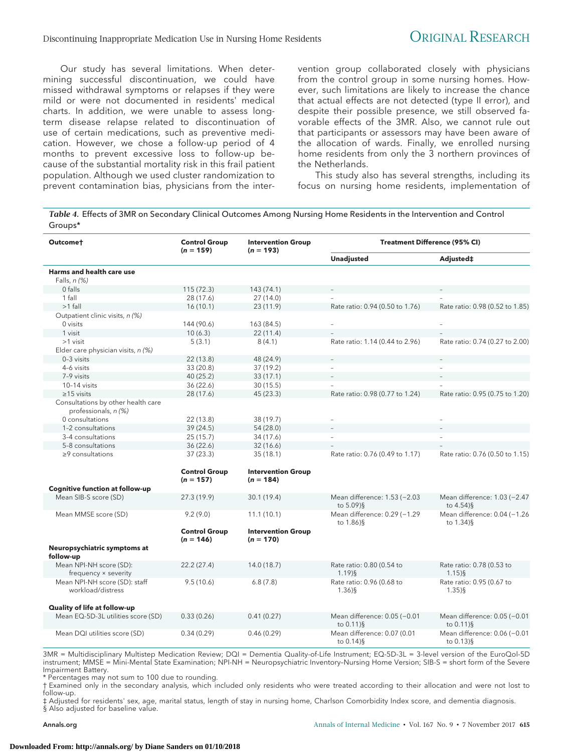Our study has several limitations. When determining successful discontinuation, we could have missed withdrawal symptoms or relapses if they were mild or were not documented in residents' medical charts. In addition, we were unable to assess longterm disease relapse related to discontinuation of use of certain medications, such as preventive medication. However, we chose a follow-up period of 4 months to prevent excessive loss to follow-up because of the substantial mortality risk in this frail patient population. Although we used cluster randomization to prevent contamination bias, physicians from the intervention group collaborated closely with physicians from the control group in some nursing homes. However, such limitations are likely to increase the chance that actual effects are not detected (type II error), and despite their possible presence, we still observed favorable effects of the 3MR. Also, we cannot rule out that participants or assessors may have been aware of the allocation of wards. Finally, we enrolled nursing home residents from only the 3 northern provinces of the Netherlands.

This study also has several strengths, including its focus on nursing home residents, implementation of

*Table 4.* Effects of 3MR on Secondary Clinical Outcomes Among Nursing Home Residents in the Intervention and Control Groups\*

| Outcomet                                                   | <b>Control Group</b><br>$(n = 159)$ | <b>Intervention Group</b><br>$(n = 193)$ | <b>Treatment Difference (95% CI)</b>        |                                              |
|------------------------------------------------------------|-------------------------------------|------------------------------------------|---------------------------------------------|----------------------------------------------|
|                                                            |                                     |                                          | <b>Unadjusted</b>                           | Adjusted‡                                    |
| Harms and health care use<br>Falls, $n$ $(\%)$             |                                     |                                          |                                             |                                              |
| 0 falls                                                    | 115(72.3)                           | 143 (74.1)                               |                                             |                                              |
| 1 fall                                                     | 28 (17.6)                           | 27(14.0)                                 |                                             |                                              |
| $>1$ fall                                                  | 16(10.1)                            | 23(11.9)                                 | Rate ratio: 0.94 (0.50 to 1.76)             | Rate ratio: 0.98 (0.52 to 1.85)              |
| Outpatient clinic visits, n (%)                            |                                     |                                          |                                             |                                              |
| 0 visits                                                   | 144 (90.6)                          | 163 (84.5)                               | $\overline{\phantom{a}}$                    | $\overline{a}$                               |
| 1 visit                                                    | 10(6.3)                             | 22(11.4)                                 |                                             |                                              |
| $>1$ visit                                                 | 5(3.1)                              | 8(4.1)                                   | Rate ratio: 1.14 (0.44 to 2.96)             | Rate ratio: 0.74 (0.27 to 2.00)              |
| Elder care physician visits, n (%)                         |                                     |                                          |                                             |                                              |
| 0-3 visits                                                 | 22(13.8)                            | 48 (24.9)                                |                                             |                                              |
| 4-6 visits                                                 | 33 (20.8)                           | 37(19.2)                                 | $\equiv$                                    | $\equiv$                                     |
| 7-9 visits                                                 | 40(25.2)                            | 33(17.1)                                 |                                             |                                              |
| 10-14 visits                                               | 36(22.6)                            | 30(15.5)                                 |                                             |                                              |
| $\geq$ 15 visits                                           | 28 (17.6)                           | 45 (23.3)                                | Rate ratio: 0.98 (0.77 to 1.24)             | Rate ratio: 0.95 (0.75 to 1.20)              |
| Consultations by other health care<br>professionals, n (%) |                                     |                                          |                                             |                                              |
| 0 consultations                                            | 22 (13.8)                           | 38 (19.7)                                |                                             |                                              |
| 1-2 consultations                                          | 39 (24.5)                           | 54 (28.0)                                |                                             |                                              |
| 3-4 consultations                                          | 25(15.7)                            | 34 (17.6)                                | $\sim$                                      |                                              |
| 5-8 consultations                                          | 36(22.6)                            | 32(16.6)                                 |                                             |                                              |
| $\geq$ 2 consultations                                     | 37(23.3)                            | 35(18.1)                                 | Rate ratio: 0.76 (0.49 to 1.17)             | Rate ratio: 0.76 (0.50 to 1.15)              |
|                                                            | <b>Control Group</b>                | <b>Intervention Group</b>                |                                             |                                              |
|                                                            | $(n = 157)$                         | $(n = 184)$                              |                                             |                                              |
| <b>Cognitive function at follow-up</b>                     |                                     |                                          |                                             |                                              |
| Mean SIB-S score (SD)                                      | 27.3 (19.9)                         | 30.1 (19.4)                              | Mean difference: 1.53 (-2.03<br>to 5.09)§   | Mean difference: 1.03 (-2.47<br>to 4.54)§    |
| Mean MMSE score (SD)                                       | 9.2(9.0)                            | 11.1(10.1)                               | Mean difference: 0.29 (-1.29)<br>to 1.86)§  | Mean difference: 0.04 (-1.26<br>to 1.34)§    |
|                                                            | <b>Control Group</b><br>$(n = 146)$ | <b>Intervention Group</b><br>$(n = 170)$ |                                             |                                              |
| Neuropsychiatric symptoms at<br>follow-up                  |                                     |                                          |                                             |                                              |
| Mean NPI-NH score (SD):<br>frequency × severity            | 22.2(27.4)                          | 14.0 (18.7)                              | Rate ratio: 0.80 (0.54 to<br>$1.19$ ) §     | Rate ratio: 0.78 (0.53 to<br>$1.15)$ §       |
| Mean NPI-NH score (SD): staff<br>workload/distress         | 9.5(10.6)                           | 6.8(7.8)                                 | Rate ratio: 0.96 (0.68 to<br>$1.36$ )§      | Rate ratio: 0.95 (0.67 to<br>$1.35)$ §       |
| Quality of life at follow-up                               |                                     |                                          |                                             |                                              |
| Mean EQ-5D-3L utilities score (SD)                         | 0.33(0.26)                          | 0.41(0.27)                               | Mean difference: 0.05 (-0.01<br>to 0.11)§   | Mean difference: 0.05 (-0.01<br>to 0.11)§    |
| Mean DQI utilities score (SD)                              | 0.34(0.29)                          | 0.46(0.29)                               | Mean difference: 0.07 (0.01<br>to $0.14$ )§ | Mean difference: 0.06 (-0.01<br>to $0.13$ )§ |

3MR = Multidisciplinary Multistep Medication Review; DQI = Dementia Quality-of-Life Instrument; EQ-5D-3L = 3-level version of the EuroQol-5D instrument; MMSE = Mini-Mental State Examination; NPI-NH = Neuropsychiatric Inventory–Nursing Home Version; SIB-S = short form of the Severe Impairment Battery.

\* Percentages may not sum to 100 due to rounding.

† Examined only in the secondary analysis, which included only residents who were treated according to their allocation and were not lost to follow-up.

‡ Adjusted for residents' sex, age, marital status, length of stay in nursing home, Charlson Comorbidity Index score, and dementia diagnosis. § Also adjusted for baseline value.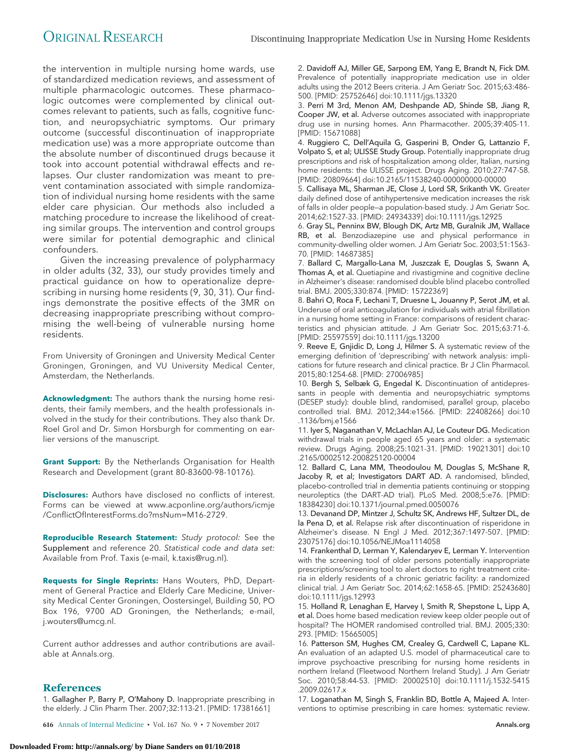the intervention in multiple nursing home wards, use of standardized medication reviews, and assessment of multiple pharmacologic outcomes. These pharmacologic outcomes were complemented by clinical outcomes relevant to patients, such as falls, cognitive function, and neuropsychiatric symptoms. Our primary outcome (successful discontinuation of inappropriate medication use) was a more appropriate outcome than the absolute number of discontinued drugs because it took into account potential withdrawal effects and relapses. Our cluster randomization was meant to prevent contamination associated with simple randomization of individual nursing home residents with the same elder care physician. Our methods also included a matching procedure to increase the likelihood of creating similar groups. The intervention and control groups were similar for potential demographic and clinical confounders.

Given the increasing prevalence of polypharmacy in older adults (32, 33), our study provides timely and practical guidance on how to operationalize deprescribing in nursing home residents (9, 30, 31). Our findings demonstrate the positive effects of the 3MR on decreasing inappropriate prescribing without compromising the well-being of vulnerable nursing home residents.

From University of Groningen and University Medical Center Groningen, Groningen, and VU University Medical Center, Amsterdam, the Netherlands.

**Acknowledgment:** The authors thank the nursing home residents, their family members, and the health professionals involved in the study for their contributions. They also thank Dr. Roel Grol and Dr. Simon Horsburgh for commenting on earlier versions of the manuscript.

**Grant Support:** By the Netherlands Organisation for Health Research and Development (grant 80-83600-98-10176).

**Disclosures:** Authors have disclosed no conflicts of interest. Forms can be viewed at [www.acponline.org/authors/icmje](http://www.acponline.org/authors/icmje/ConflictOfInterestForms.do?msNum=M16-2729) [/ConflictOfInterestForms.do?msNum=M16-2729.](http://www.acponline.org/authors/icmje/ConflictOfInterestForms.do?msNum=M16-2729)

**Reproducible Research Statement:** Study protocol: See the Supplement and reference 20. Statistical code and data set: Available from Prof. Taxis (e-mail, [k.taxis@rug.nl\)](mailto:k.taxis@rug.nl).

**Requests for Single Reprints:** Hans Wouters, PhD, Department of General Practice and Elderly Care Medicine, University Medical Center Groningen, Oostersingel, Building 50, PO Box 196, 9700 AD Groningen, the Netherlands; e-mail, [j.wouters@umcg.nl.](mailto:j.wouters@umcg.nl)

Current author addresses and author contributions are available at [Annals.org.](http://www.annals.org)

#### **References**

1. Gallagher P, Barry P, O'Mahony D. Inappropriate prescribing in the elderly. J Clin Pharm Ther. 2007;32:113-21. [PMID: 17381661]

**616** Annals of Internal Medicine • Vol. 167 No. 9 • 7 November 2017 [Annals.org](http://www.annals.org)

2. Davidoff AJ, Miller GE, Sarpong EM, Yang E, Brandt N, Fick DM. Prevalence of potentially inappropriate medication use in older adults using the 2012 Beers criteria. J Am Geriatr Soc. 2015;63:486- 500. [PMID: 25752646] doi:10.1111/jgs.13320

3. Perri M 3rd, Menon AM, Deshpande AD, Shinde SB, Jiang R, Cooper JW, et al. Adverse outcomes associated with inappropriate drug use in nursing homes. Ann Pharmacother. 2005;39:405-11. [PMID: 15671088]

4. Ruggiero C, Dell'Aquila G, Gasperini B, Onder G, Lattanzio F, Volpato S, et al; ULISSE Study Group. Potentially inappropriate drug prescriptions and risk of hospitalization among older, Italian, nursing home residents: the ULISSE project. Drugs Aging. 2010;27:747-58. [PMID: 20809664] doi:10.2165/11538240-000000000-00000

5. Callisaya ML, Sharman JE, Close J, Lord SR, Srikanth VK. Greater daily defined dose of antihypertensive medication increases the risk of falls in older people—a population-based study. J Am Geriatr Soc. 2014;62:1527-33. [PMID: 24934339] doi:10.1111/jgs.12925

6. Gray SL, Penninx BW, Blough DK, Artz MB, Guralnik JM, Wallace RB, et al. Benzodiazepine use and physical performance in community-dwelling older women. J Am Geriatr Soc. 2003;51:1563- 70. [PMID: 14687385]

7. Ballard C, Margallo-Lana M, Juszczak E, Douglas S, Swann A, Thomas A, et al. Quetiapine and rivastigmine and cognitive decline in Alzheimer's disease: randomised double blind placebo controlled trial. BMJ. 2005;330:874. [PMID: 15722369]

8. Bahri O, Roca F, Lechani T, Druesne L, Jouanny P, Serot JM, et al. Underuse of oral anticoagulation for individuals with atrial fibrillation in a nursing home setting in France: comparisons of resident characteristics and physician attitude. J Am Geriatr Soc. 2015;63:71-6. [PMID: 25597559] doi:10.1111/jgs.13200

9. Reeve E, Gnjidic D, Long J, Hilmer S. A systematic review of the emerging definition of 'deprescribing' with network analysis: implications for future research and clinical practice. Br J Clin Pharmacol. 2015;80:1254-68. [PMID: 27006985]

10. Bergh S, Selbæk G, Engedal K. Discontinuation of antidepressants in people with dementia and neuropsychiatric symptoms (DESEP study): double blind, randomised, parallel group, placebo controlled trial. BMJ. 2012;344:e1566. [PMID: 22408266] doi:10 .1136/bmj.e1566

11. Iyer S, Naganathan V, McLachlan AJ, Le Couteur DG. Medication withdrawal trials in people aged 65 years and older: a systematic review. Drugs Aging. 2008;25:1021-31. [PMID: 19021301] doi:10 .2165/0002512-200825120-00004

12. Ballard C, Lana MM, Theodoulou M, Douglas S, McShane R, Jacoby R, et al; Investigators DART AD. A randomised, blinded, placebo-controlled trial in dementia patients continuing or stopping neuroleptics (the DART-AD trial). PLoS Med. 2008;5:e76. [PMID: 18384230] doi:10.1371/journal.pmed.0050076

13. Devanand DP, Mintzer J, Schultz SK, Andrews HF, Sultzer DL, de la Pena D, et al. Relapse risk after discontinuation of risperidone in Alzheimer's disease. N Engl J Med. 2012;367:1497-507. [PMID: 23075176] doi:10.1056/NEJMoa1114058

14. Frankenthal D, Lerman Y, Kalendaryev E, Lerman Y. Intervention with the screening tool of older persons potentially inappropriate prescriptions/screening tool to alert doctors to right treatment criteria in elderly residents of a chronic geriatric facility: a randomized clinical trial. J Am Geriatr Soc. 2014;62:1658-65. [PMID: 25243680] doi:10.1111/jgs.12993

15. Holland R, Lenaghan E, Harvey I, Smith R, Shepstone L, Lipp A, et al. Does home based medication review keep older people out of hospital? The HOMER randomised controlled trial. BMJ. 2005;330: 293. [PMID: 15665005]

16. Patterson SM, Hughes CM, Crealey G, Cardwell C, Lapane KL. An evaluation of an adapted U.S. model of pharmaceutical care to improve psychoactive prescribing for nursing home residents in northern Ireland (Fleetwood Northern Ireland Study). J Am Geriatr Soc. 2010;58:44-53. [PMID: 20002510] doi:10.1111/j.1532-5415 .2009.02617.x

17. Loganathan M, Singh S, Franklin BD, Bottle A, Majeed A. Interventions to optimise prescribing in care homes: systematic review.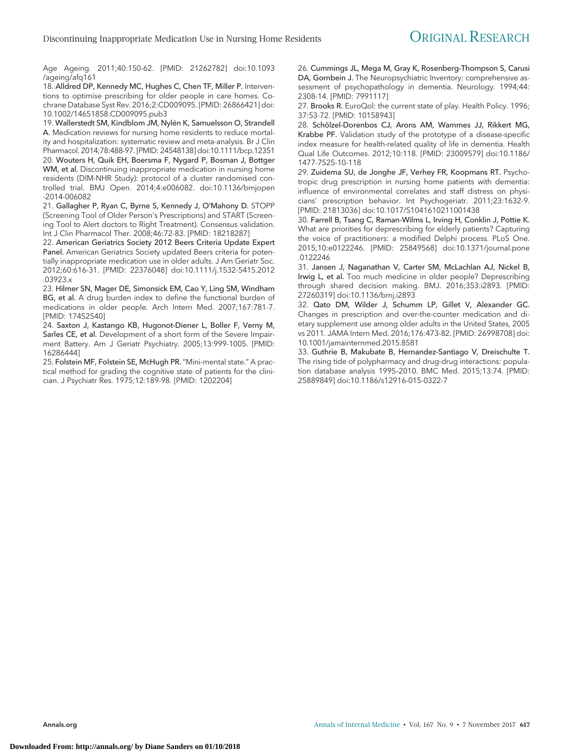Age Ageing. 2011;40:150-62. [PMID: 21262782] doi:10.1093 /ageing/afq161

18. Alldred DP, Kennedy MC, Hughes C, Chen TF, Miller P. Interventions to optimise prescribing for older people in care homes. Cochrane Database Syst Rev. 2016;2:CD009095. [PMID: 26866421] doi: 10.1002/14651858.CD009095.pub3

19. Wallerstedt SM, Kindblom JM, Nylén K, Samuelsson O, Strandell A. Medication reviews for nursing home residents to reduce mortality and hospitalization: systematic review and meta-analysis. Br J Clin Pharmacol. 2014;78:488-97. [PMID: 24548138] doi:10.1111/bcp.12351 20. Wouters H, Quik EH, Boersma F, Nygard P, Bosman J, Bottger WM, et al. Discontinuing inappropriate medication in nursing home residents (DIM-NHR Study): protocol of a cluster randomised controlled trial. BMJ Open. 2014;4:e006082. doi:10.1136/bmjopen -2014-006082

21. Gallagher P, Ryan C, Byrne S, Kennedy J, O'Mahony D. STOPP (Screening Tool of Older Person's Prescriptions) and START (Screening Tool to Alert doctors to Right Treatment). Consensus validation. Int J Clin Pharmacol Ther. 2008;46:72-83. [PMID: 18218287]

22. American Geriatrics Society 2012 Beers Criteria Update Expert Panel. American Geriatrics Society updated Beers criteria for potentially inappropriate medication use in older adults. J Am Geriatr Soc. 2012;60:616-31. [PMID: 22376048] doi:10.1111/j.1532-5415.2012 .03923.x

23. Hilmer SN, Mager DE, Simonsick EM, Cao Y, Ling SM, Windham BG, et al. A drug burden index to define the functional burden of medications in older people. Arch Intern Med. 2007;167:781-7. [PMID: 17452540]

24. Saxton J, Kastango KB, Hugonot-Diener L, Boller F, Verny M, Sarles CE, et al. Development of a short form of the Severe Impairment Battery. Am J Geriatr Psychiatry. 2005;13:999-1005. [PMID: 16286444]

25. Folstein MF, Folstein SE, McHugh PR. "Mini-mental state." A practical method for grading the cognitive state of patients for the clinician. J Psychiatr Res. 1975;12:189-98. [PMID: 1202204]

26. Cummings JL, Mega M, Gray K, Rosenberg-Thompson S, Carusi DA, Gornbein J. The Neuropsychiatric Inventory: comprehensive assessment of psychopathology in dementia. Neurology. 1994;44: 2308-14. [PMID: 7991117]

27. Brooks R. EuroQol: the current state of play. Health Policy. 1996; 37:53-72. [PMID: 10158943]

28. Schölzel-Dorenbos CJ, Arons AM, Wammes JJ, Rikkert MG, Krabbe PF. Validation study of the prototype of a disease-specific index measure for health-related quality of life in dementia. Health Qual Life Outcomes. 2012;10:118. [PMID: 23009579] doi:10.1186/ 1477-7525-10-118

29. Zuidema SU, de Jonghe JF, Verhey FR, Koopmans RT. Psychotropic drug prescription in nursing home patients with dementia: influence of environmental correlates and staff distress on physicians' prescription behavior. Int Psychogeriatr. 2011;23:1632-9. [PMID: 21813036] doi:10.1017/S1041610211001438

30. Farrell B, Tsang C, Raman-Wilms L, Irving H, Conklin J, Pottie K. What are priorities for deprescribing for elderly patients? Capturing the voice of practitioners: a modified Delphi process. PLoS One. 2015;10:e0122246. [PMID: 25849568] doi:10.1371/journal.pone .0122246

31. Jansen J, Naganathan V, Carter SM, McLachlan AJ, Nickel B, Irwig L, et al. Too much medicine in older people? Deprescribing through shared decision making. BMJ. 2016;353:i2893. [PMID: 27260319] doi:10.1136/bmj.i2893

32. Qato DM, Wilder J, Schumm LP, Gillet V, Alexander GC. Changes in prescription and over-the-counter medication and dietary supplement use among older adults in the United States, 2005 vs 2011. JAMA Intern Med. 2016;176:473-82. [PMID: 26998708] doi: 10.1001/jamainternmed.2015.8581

33. Guthrie B, Makubate B, Hernandez-Santiago V, Dreischulte T. The rising tide of polypharmacy and drug-drug interactions: population database analysis 1995–2010. BMC Med. 2015;13:74. [PMID: 25889849] doi:10.1186/s12916-015-0322-7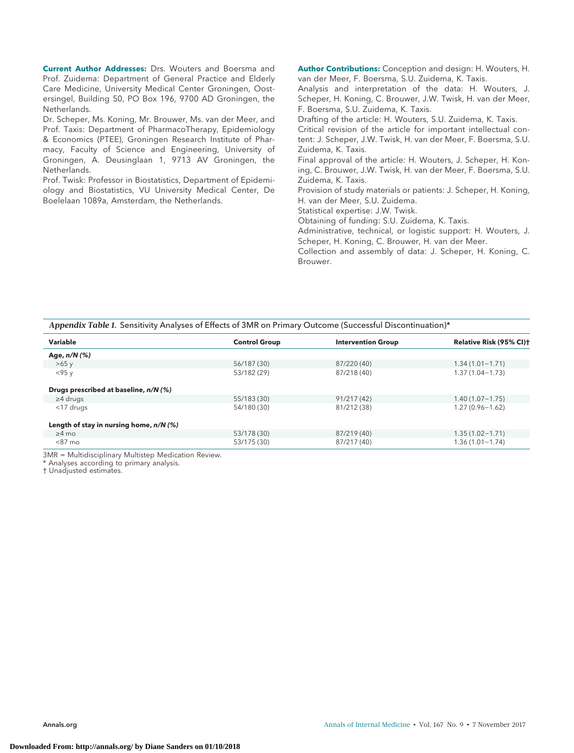**Current Author Addresses:** Drs. Wouters and Boersma and Prof. Zuidema: Department of General Practice and Elderly Care Medicine, University Medical Center Groningen, Oostersingel, Building 50, PO Box 196, 9700 AD Groningen, the Netherlands.

Dr. Scheper, Ms. Koning, Mr. Brouwer, Ms. van der Meer, and Prof. Taxis: Department of PharmacoTherapy, Epidemiology & Economics (PTEE), Groningen Research Institute of Pharmacy, Faculty of Science and Engineering, University of Groningen, A. Deusinglaan 1, 9713 AV Groningen, the Netherlands.

Prof. Twisk: Professor in Biostatistics, Department of Epidemiology and Biostatistics, VU University Medical Center, De Boelelaan 1089a, Amsterdam, the Netherlands.

**Author Contributions:** Conception and design: H. Wouters, H. van der Meer, F. Boersma, S.U. Zuidema, K. Taxis.

Analysis and interpretation of the data: H. Wouters, J. Scheper, H. Koning, C. Brouwer, J.W. Twisk, H. van der Meer, F. Boersma, S.U. Zuidema, K. Taxis.

Drafting of the article: H. Wouters, S.U. Zuidema, K. Taxis. Critical revision of the article for important intellectual content: J. Scheper, J.W. Twisk, H. van der Meer, F. Boersma, S.U. Zuidema, K. Taxis.

Final approval of the article: H. Wouters, J. Scheper, H. Koning, C. Brouwer, J.W. Twisk, H. van der Meer, F. Boersma, S.U. Zuidema, K. Taxis.

Provision of study materials or patients: J. Scheper, H. Koning, H. van der Meer, S.U. Zuidema.

Statistical expertise: J.W. Twisk.

Obtaining of funding: S.U. Zuidema, K. Taxis.

Administrative, technical, or logistic support: H. Wouters, J. Scheper, H. Koning, C. Brouwer, H. van der Meer.

Collection and assembly of data: J. Scheper, H. Koning, C. Brouwer.

#### *Appendix Table 1.* Sensitivity Analyses of Effects of 3MR on Primary Outcome (Successful Discontinuation)\*

| Variable                                  | <b>Control Group</b> | <b>Intervention Group</b> | Relative Risk (95% CI) <sup>+</sup> |
|-------------------------------------------|----------------------|---------------------------|-------------------------------------|
| Age, n/N (%)                              |                      |                           |                                     |
| >65v                                      | 56/187 (30)          | 87/220 (40)               | $1.34(1.01 - 1.71)$                 |
| $<$ 95 $v$                                | 53/182 (29)          | 87/218 (40)               | $1.37(1.04 - 1.73)$                 |
| Drugs prescribed at baseline, n/N (%)     |                      |                           |                                     |
| $\geq$ 4 drugs                            | 55/183 (30)          | 91/217 (42)               | $1.40(1.07 - 1.75)$                 |
| <17 drugs                                 | 54/180 (30)          | 81/212 (38)               | $1.27(0.96 - 1.62)$                 |
| Length of stay in nursing home, $n/N$ (%) |                      |                           |                                     |
| $\geq 4$ mo                               | 53/178 (30)          | 87/219 (40)               | $1.35(1.02 - 1.71)$                 |
| $< 87 \text{ mo}$                         | 53/175 (30)          | 87/217 (40)               | $1.36(1.01 - 1.74)$                 |

3MR = Multidisciplinary Multistep Medication Review.

\* Analyses according to primary analysis.

† Unadjusted estimates.